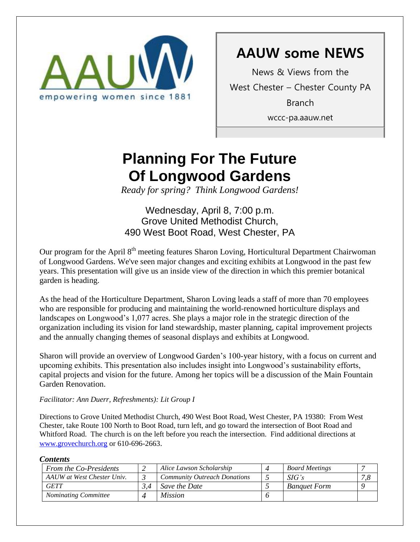

# **AAUW some NEWS**

News & Views from the West Chester – Chester County PA Branch wccc-pa.aauw.net

# **Planning For The Future Of Longwood Gardens**

*Ready for spring? Think Longwood Gardens!*

### Wednesday, April 8, 7:00 p.m. Grove United Methodist Church, 490 West Boot Road, West Chester, PA

Our program for the April 8<sup>th</sup> meeting features Sharon Loving, Horticultural Department Chairwoman of Longwood Gardens. We've seen major changes and exciting exhibits at Longwood in the past few years. This presentation will give us an inside view of the direction in which this premier botanical garden is heading.

As the head of the Horticulture Department, Sharon Loving leads a staff of more than 70 employees who are responsible for producing and maintaining the world-renowned horticulture displays and landscapes on Longwood's 1,077 acres. She plays a major role in the strategic direction of the organization including its vision for land stewardship, master planning, capital improvement projects and the annually changing themes of seasonal displays and exhibits at Longwood.

Sharon will provide an overview of Longwood Garden's 100-year history, with a focus on current and upcoming exhibits. This presentation also includes insight into Longwood's sustainability efforts, capital projects and vision for the future. Among her topics will be a discussion of the Main Fountain Garden Renovation.

### *Facilitator: Ann Duerr, Refreshments): Lit Group I*

Directions to Grove United Methodist Church, 490 West Boot Road, West Chester, PA 19380: From West Chester, take Route 100 North to Boot Road, turn left, and go toward the intersection of Boot Road and Whitford Road. The church is on the left before you reach the intersection. Find additional directions at [www.grovechurch.org](http://www.grovechurch.org/) or 610-696-2663.

### *Contents*

| -----------                 |  |                                     |  |                       |    |  |
|-----------------------------|--|-------------------------------------|--|-----------------------|----|--|
| From the Co-Presidents      |  | Alice Lawson Scholarship            |  | <b>Board Meetings</b> |    |  |
| AAUW at West Chester Univ.  |  | <b>Community Outreach Donations</b> |  | SIG's                 | 7c |  |
| <b>GETT</b>                 |  | Save the Date                       |  | <b>Banauet Form</b>   |    |  |
| <b>Nominating Committee</b> |  | <i>Mission</i>                      |  |                       |    |  |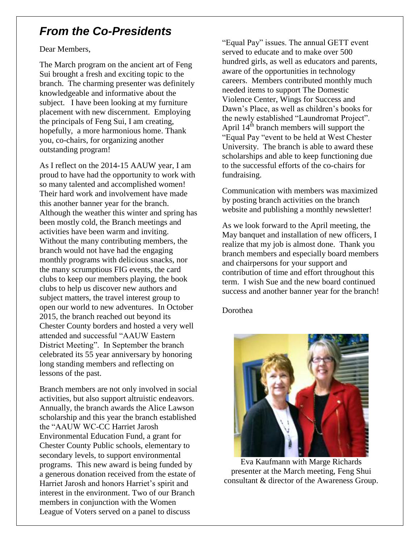## *From the Co-Presidents*

Dear Members,

The March program on the ancient art of Feng Sui brought a fresh and exciting topic to the branch. The charming presenter was definitely knowledgeable and informative about the subject. I have been looking at my furniture placement with new discernment. Employing the principals of Feng Sui, I am creating, hopefully, a more harmonious home. Thank you, co-chairs, for organizing another outstanding program!

As I reflect on the 2014-15 AAUW year, I am proud to have had the opportunity to work with so many talented and accomplished women! Their hard work and involvement have made this another banner year for the branch. Although the weather this winter and spring has been mostly cold, the Branch meetings and activities have been warm and inviting. Without the many contributing members, the branch would not have had the engaging monthly programs with delicious snacks, nor the many scrumptious FIG events, the card clubs to keep our members playing, the book clubs to help us discover new authors and subject matters, the travel interest group to open our world to new adventures. In October 2015, the branch reached out beyond its Chester County borders and hosted a very well attended and successful "AAUW Eastern District Meeting". In September the branch celebrated its 55 year anniversary by honoring long standing members and reflecting on lessons of the past.

Branch members are not only involved in social activities, but also support altruistic endeavors. Annually, the branch awards the Alice Lawson scholarship and this year the branch established the "AAUW WC-CC Harriet Jarosh Environmental Education Fund, a grant for Chester County Public schools, elementary to secondary levels, to support environmental programs. This new award is being funded by a generous donation received from the estate of Harriet Jarosh and honors Harriet's spirit and interest in the environment. Two of our Branch members in conjunction with the Women League of Voters served on a panel to discuss

"Equal Pay" issues. The annual GETT event served to educate and to make over 500 hundred girls, as well as educators and parents, aware of the opportunities in technology careers. Members contributed monthly much needed items to support The Domestic Violence Center, Wings for Success and Dawn's Place, as well as children's books for the newly established "Laundromat Project". April  $14<sup>th</sup>$  branch members will support the "Equal Pay "event to be held at West Chester University. The branch is able to award these scholarships and able to keep functioning due to the successful efforts of the co-chairs for fundraising.

Communication with members was maximized by posting branch activities on the branch website and publishing a monthly newsletter!

As we look forward to the April meeting, the May banquet and installation of new officers, I realize that my job is almost done. Thank you branch members and especially board members and chairpersons for your support and contribution of time and effort throughout this term. I wish Sue and the new board continued success and another banner year for the branch!

Dorothea



Eva Kaufmann with Marge Richards presenter at the March meeting, Feng Shui consultant & director of the Awareness Group.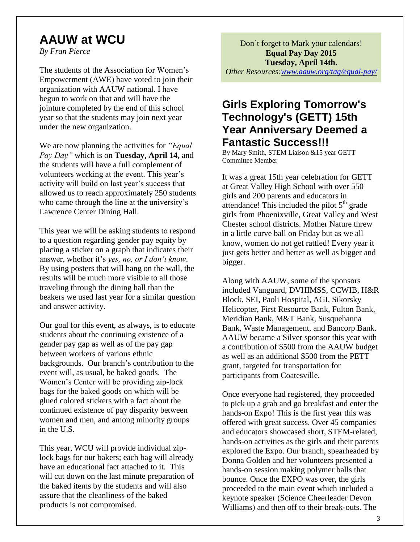# **AAUW at WCU**

*By Fran Pierce*

The students of the Association for Women's Empowerment (AWE) have voted to join their organization with AAUW national. I have begun to work on that and will have the jointure completed by the end of this school year so that the students may join next year under the new organization.

We are now planning the activities for *"Equal Pay Day"* which is on **Tuesday, April 14,** and the students will have a full complement of volunteers working at the event. This year's activity will build on last year's success that allowed us to reach approximately 250 students who came through the line at the university's Lawrence Center Dining Hall.

This year we will be asking students to respond to a question regarding gender pay equity by placing a sticker on a graph that indicates their answer, whether it's *yes, no, or I don't know*. By using posters that will hang on the wall, the results will be much more visible to all those traveling through the dining hall than the beakers we used last year for a similar question and answer activity.

Our goal for this event, as always, is to educate students about the continuing existence of a gender pay gap as well as of the pay gap between workers of various ethnic backgrounds. Our branch's contribution to the event will, as usual, be baked goods. The Women's Center will be providing zip-lock bags for the baked goods on which will be glued colored stickers with a fact about the continued existence of pay disparity between women and men, and among minority groups in the U.S.

This year, WCU will provide individual ziplock bags for our bakers; each bag will already have an educational fact attached to it. This will cut down on the last minute preparation of the baked items by the students and will also assure that the cleanliness of the baked products is not compromised.

Don't forget to Mark your calendars! **Equal Pay Day 2015 Tuesday, April 14th.**

*Other Resources[:www.aauw.org/tag/equal-pay/](http://www.aauw.org/tag/equal-pay/)*

### **Girls Exploring Tomorrow's Technology's (GETT) 15th Year Anniversary Deemed a Fantastic Success!!!**

By Mary Smith, STEM Liaison &15 year GETT Committee Member

It was a great 15th year celebration for GETT at Great Valley High School with over 550 girls and 200 parents and educators in attendance! This included the pilot  $5<sup>th</sup>$  grade girls from Phoenixville, Great Valley and West Chester school districts. Mother Nature threw in a little curve ball on Friday but as we all know, women do not get rattled! Every year it just gets better and better as well as bigger and bigger.

Along with AAUW, some of the sponsors included Vanguard, DVHIMSS, CCWIB, H&R Block, SEI, Paoli Hospital, AGI, Sikorsky Helicopter, First Resource Bank, Fulton Bank, Meridian Bank, M&T Bank, Susquehanna Bank, Waste Management, and Bancorp Bank. AAUW became a Silver sponsor this year with a contribution of \$500 from the AAUW budget as well as an additional \$500 from the PETT grant, targeted for transportation for participants from Coatesville.

Once everyone had registered, they proceeded to pick up a grab and go breakfast and enter the hands-on Expo! This is the first year this was offered with great success. Over 45 companies and educators showcased short, STEM-related, hands-on activities as the girls and their parents explored the Expo. Our branch, spearheaded by Donna Golden and her volunteers presented a hands-on session making polymer balls that bounce. Once the EXPO was over, the girls proceeded to the main event which included a keynote speaker (Science Cheerleader Devon Williams) and then off to their break-outs. The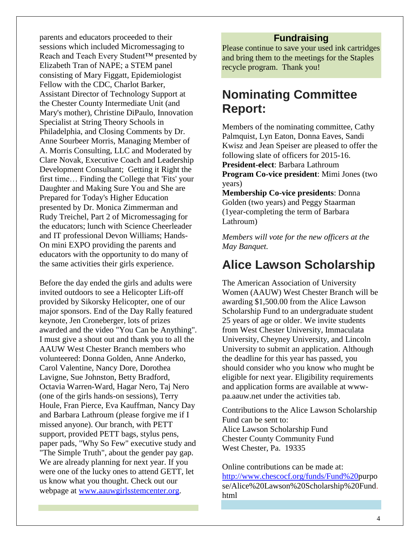parents and educators proceeded to their sessions which included Micromessaging to Reach and Teach Every Student™ presented by Elizabeth Tran of NAPE; a STEM panel consisting of Mary Figgatt, Epidemiologist Fellow with the CDC, Charlot Barker, Assistant Director of Technology Support at the Chester County Intermediate Unit (and Mary's mother), Christine DiPaulo, Innovation Specialist at String Theory Schools in Philadelphia, and Closing Comments by Dr. Anne Sourbeer Morris, Managing Member of A. Morris Consulting, LLC and Moderated by Clare Novak, Executive Coach and Leadership Development Consultant; Getting it Right the first time… Finding the College that 'Fits' your Daughter and Making Sure You and She are Prepared for Today's Higher Education presented by Dr. Monica Zimmerman and Rudy Treichel, Part 2 of Micromessaging for the educators; lunch with Science Cheerleader and IT professional Devon Williams; Hands-On mini EXPO providing the parents and educators with the opportunity to do many of the same activities their girls experience.

Before the day ended the girls and adults were invited outdoors to see a Helicopter Lift-off provided by Sikorsky Helicopter, one of our major sponsors. End of the Day Rally featured keynote, Jen Croneberger, lots of prizes awarded and the video "You Can be Anything". I must give a shout out and thank you to all the AAUW West Chester Branch members who volunteered: Donna Golden, Anne Anderko, Carol Valentine, Nancy Dore, Dorothea Lavigne, Sue Johnston, Betty Bradford, Octavia Warren-Ward, Hagar Nero, Taj Nero (one of the girls hands-on sessions), Terry Houle, Fran Pierce, Eva Kauffman, Nancy Day and Barbara Lathroum (please forgive me if I missed anyone). Our branch, with PETT support, provided PETT bags, stylus pens, paper pads, "Why So Few" executive study and "The Simple Truth", about the gender pay gap. We are already planning for next year. If you were one of the lucky ones to attend GETT, let us know what you thought. Check out our webpage at [www.aauwgirlsstemcenter.org.](http://www.aauwgirlsstemcenter.org/)

### **Fundraising**

Please continue to save your used ink cartridges and bring them to the meetings for the Staples recycle program. Thank you!

# **Nominating Committee Report:**

Members of the nominating committee, Cathy Palmquist, Lyn Eaton, Donna Eaves, Sandi Kwisz and Jean Speiser are pleased to offer the following slate of officers for 2015-16. **President-elect**: Barbara Lathroum **Program Co-vice president**: Mimi Jones (two years)

**Membership Co-vice presidents**: Donna Golden (two years) and Peggy Staarman (1year-completing the term of Barbara Lathroum)

*Members will vote for the new officers at the May Banquet.*

### **Alice Lawson Scholarship**

The American Association of University Women (AAUW) West Chester Branch will be awarding \$1,500.00 from the Alice Lawson Scholarship Fund to an undergraduate student 25 years of age or older. We invite students from West Chester University, Immaculata University, Cheyney University, and Lincoln University to submit an application. Although the deadline for this year has passed, you should consider who you know who mught be eligible for next year. Eligibility requirements and application forms are available at wwwpa.aauw.net under the activities tab.

Contributions to the Alice Lawson Scholarship Fund can be sent to: Alice Lawson Scholarship Fund Chester County Community Fund West Chester, Pa. 19335

Online contributions can be made at: [http://www.chescocf.org/funds/Fund%20p](http://www.chescocf.org/funds/Fund%2520)urpo se/Alice%20Lawson%20Scholarship%20Fund. html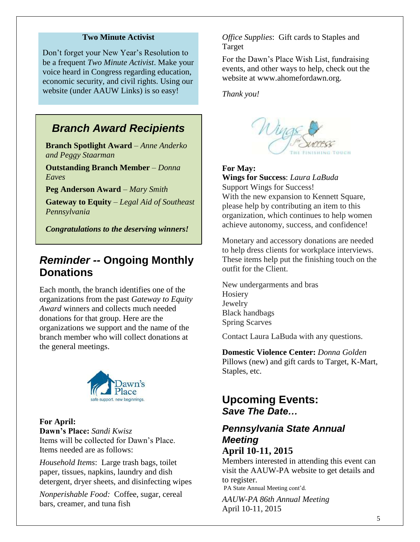#### **Two Minute Activist**

Don't forget your New Year's Resolution to be a frequent *Two Minute Activist*. Make your voice heard in Congress regarding education, economic security, and civil rights. Using our website (under AAUW Links) is so easy!

### *Branch Award Recipients*

**Branch Spotlight Award** – *Anne Anderko and Peggy Staarman*

**Outstanding Branch Member** – *Donna Eaves*

**Peg Anderson Award** – *Mary Smith*

**Gateway to Equity** – *Legal Aid of Southeast Pennsylvania*

*Congratulations to the deserving winners!* 

### *Reminder --* **Ongoing Monthly Donations**

Each month, the branch identifies one of the organizations from the past *Gateway to Equity Award* winners and collects much needed donations for that group. Here are the organizations we support and the name of the branch member who will collect donations at the general meetings.



**For April: Dawn's Place:** *Sandi Kwisz* Items will be collected for Dawn's Place. Items needed are as follows:

*Household Items*: Large trash bags, toilet paper, tissues, napkins, laundry and dish detergent, dryer sheets, and disinfecting wipes

*Nonperishable Food:* Coffee, sugar, cereal bars, creamer, and tuna fish

#### *Office Supplies*: Gift cards to Staples and Target

For the Dawn's Place Wish List, fundraising events, and other ways to help, check out the website at [www.ahomefordawn.org.](http://www.ahomefordawn.org/)

*Thank you!*



#### **For May:**

**Wings for Success**: *Laura LaBuda* Support Wings for Success! With the new expansion to Kennett Square, please help by contributing an item to this organization, which continues to help women achieve autonomy, success, and confidence!

Monetary and accessory donations are needed to help dress clients for workplace interviews. These items help put the finishing touch on the outfit for the Client.

New undergarments and bras **Hosiery** Jewelry Black handbags Spring Scarves

Contact Laura LaBuda with any questions.

**Domestic Violence Center:** *Donna Golden* Pillows (new) and gift cards to Target, K-Mart, Staples, etc.

### **Upcoming Events:** *Save The Date…*

## *Pennsylvania State Annual Meeting*

**April 10-11, 2015** Members interested in attending this event can

visit the AAUW-PA website to get details and to register.

PA State Annual Meeting cont'd.

*AAUW-PA 86th Annual Meeting* April 10-11, 2015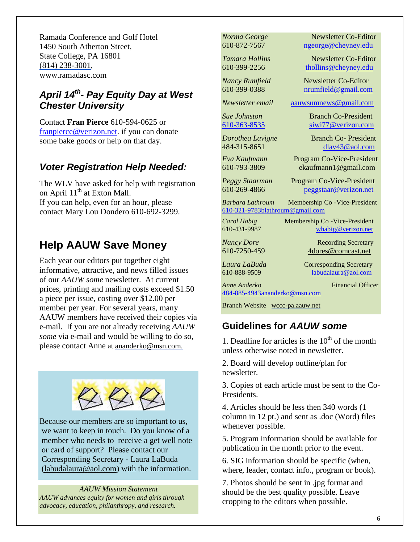Ramada Conference and Golf Hotel 1450 South Atherton Street, State College, PA 16801 (814) 238-3001, [www.ramadasc.com](http://www.ramadasc.com/)

### *April 14th - Pay Equity Day at West Chester University*

Contact **Fran Pierce** 610-594-0625 or [franpierce@verizon.net.](mailto:franpierce@verizon.net) if you can donate some bake goods or help on that day.

### *Voter Registration Help Needed:*

The WLV have asked for help with registration on April  $11<sup>th</sup>$  at Exton Mall. If you can help, even for an hour, please contact Mary Lou Dondero 610-692-3299.

# **Help AAUW Save Money**

Each year our editors put together eight informative, attractive, and news filled issues of our *AAUW some* newsletter. At current prices, printing and mailing costs exceed \$1.50 a piece per issue, costing over \$12.00 per member per year. For several years, many AAUW members have received their copies via e-mail. If you are not already receiving *AAUW some* via e-mail and would be willing to do so, please contact Anne at ananderko@msn.com.



Because our members are so important to us, we want to keep in touch. Do you know of a member who needs to receive a get well note or card of support? Please contact our Corresponding Secretary - Laura LaBuda [\(labudalaura@aol.com\)](mailto:labudalaura@aol.com) with the information.

*AAUW Mission Statement AAUW advances equity for women and girls through advocacy, education, philanthropy, and research.*

*Norma George* Newsletter Co-Editor 610-872-7567 [ngeorge@cheyney.edu](mailto:ngeorge@cheyney.ecu)

*Tamara Hollins* Newsletter Co-Editor 610-399-2256 [thollins@cheyney.edu](mailto:thollins@cheyney.edu)

*Nancy Rumfield* Newsletter Co-Editor 610-399-0388 [nrumfield@gmail.com](mailto:nrumfield@gmail.com)

*Newsletter email* [aauwsumnews@gmail.com](mailto:aauwsumnews@gmail.com)

*Sue Johnston* Branch Co-President [610-363-8535](mailto:610-363-8535) [siwi77@verizon.com](mailto:siwi77@verizon.com)

*Dorothea Lavigne* Branch Co- President 484-315-8651 [dlav43@aol.com](mailto:franpierce@verizon.net)

*Eva Kaufmann* Program Co-Vice-President [610-793-3809](mailto:610-793-3809) ekaufmann1@gmail.com

*Peggy Staarman* Program Co-Vice-President 610-269-4866 [peggstaar@verizon.net](mailto:4dores@comcast.net)

*Barbara Lathroum* Membership Co -Vice-President [610-321-9783blathroum@gmail.com](mailto:610-321-9783)

*Carol Habig* Membership Co - Vice-President

610-431-9987 [whabig@verizon.net](mailto:mjschultz46@hotmail.com)

*Nancy Dore* **Recording Secretary** 

610-7250-459 4dores@comcast.net

*Laura LaBuda* **Corresponding Secretary** 

610-888-9509 labudalaura@aol.com

*Anne Anderko* Financial Officer [484-885-4943ananderko@msn.com](mailto:484-885-4943)

Branch Website [wccc-pa.aauw.net](http://wccc-pa.aauw.net/)

### **Guidelines for** *AAUW some*

1. Deadline for articles is the  $10<sup>th</sup>$  of the month unless otherwise noted in newsletter.

2. Board will develop outline/plan for newsletter.

3. Copies of each article must be sent to the Co-Presidents.

4. Articles should be less then 340 words (1 column in 12 pt.) and sent as .doc (Word) files whenever possible.

5. Program information should be available for publication in the month prior to the event.

6. SIG information should be specific (when, where, leader, contact info., program or book).

7. Photos should be sent in .jpg format and should be the best quality possible. Leave cropping to the editors when possible.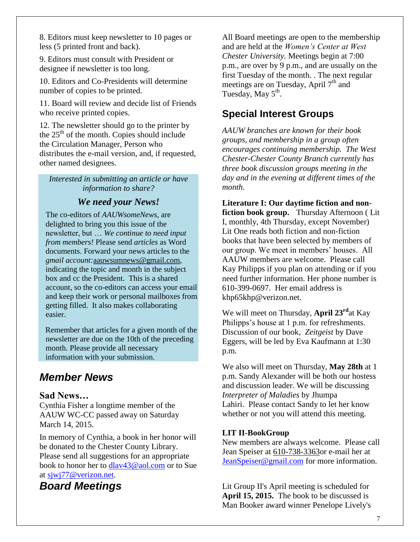8. Editors must keep newsletter to 10 pages or less (5 printed front and back).

9. Editors must consult with President or designee if newsletter is too long.

10. Editors and Co-Presidents will determine number of copies to be printed.

11. Board will review and decide list of Friends who receive printed copies.

12. The newsletter should go to the printer by the  $25<sup>th</sup>$  of the month. Copies should include the Circulation Manager, Person who distributes the e-mail version, and, if requested, other named designees.

*Interested in submitting an article or have information to share?*

### *We need your News!*

 The co-editors of *AAUWsomeNews*, are delighted to bring you this issue of the newsletter, but … *We continue to need input from members!* Please send *articles* as Word documents. Forward your news articles to the *gmail account:*[aauwsumnews@gmail.com,](mailto:aauwsum@gmail.com) indicating the topic and month in the subject box and cc the President. This is a shared account, so the co-editors can access your email and keep their work or personal mailboxes from getting filled. It also makes collaborating easier.

 Remember that articles for a given month of the newsletter are due on the 10th of the preceding month*.* Please provide all necessary information with your submission.

### *Member News*

### **Sad News…**

Cynthia Fisher a longtime member of the AAUW WC-CC passed away on Saturday March 14, 2015.

In memory of Cynthia, a book in her honor will be donated to the Chester County Library. Please send all suggestions for an appropriate book to honor her to [dlav43@aol.com](mailto:dlav43@aol.com) or to Sue at [sjwj77@verizon.net.](mailto:sjwj77@verizon.net)

### *Board Meetings*

All Board meetings are open to the membership and are held at the *Women's Center at West Chester University.* Meetings begin at 7:00 p.m., are over by 9 p.m., and are usually on the first Tuesday of the month. . The next regular meetings are on Tuesday, April  $7<sup>th</sup>$  and Tuesday, May  $5^{\text{th}}$ .

### **Special Interest Groups**

*AAUW branches are known for their book groups, and membership in a group often encourages continuing membership. The West Chester-Chester County Branch currently has three book discussion groups meeting in the day and in the evening at different times of the month.* 

**Literature I: Our daytime fiction and nonfiction book group.** Thursday Afternoon ( Lit I, monthly, 4th Thursday, except November) Lit One reads both fiction and non-fiction books that have been selected by members of our group. We meet in members' houses. All AAUW members are welcome. Please call Kay Philipps if you plan on attending or if you need further information. Her phone number is 610-399-0697. Her email address is [khp65khp@verizon.net.](mailto:khp65khp@verizon.net)

We will meet on Thursday, **April 23rd**at Kay Philipps's house at 1 p.m. for refreshments. Discussion of our book, *Zeitgeist* by Dave Eggers, will be led by Eva Kaufmann at 1:30 p.m.

We also will meet on Thursday, **May 28th** at 1 p.m. Sandy Alexander will be both our hostess and discussion leader. We will be discussing *Interpreter of Maladies* by Jhumpa Lahiri. Please contact Sandy to let her know whether or not you will attend this meeting.

### **LIT II-BookGroup**

New members are always welcome. Please call Jean Speiser at [610-738-3363o](mailto:610-738-3363)r e-mail her at [JeanSpeiser@gmail.com](mailto:JeanSpeiser@gmail.com) for more information.

Lit Group II's April meeting is scheduled for **April 15, 2015.** The book to be discussed is Man Booker award winner Penelope Lively's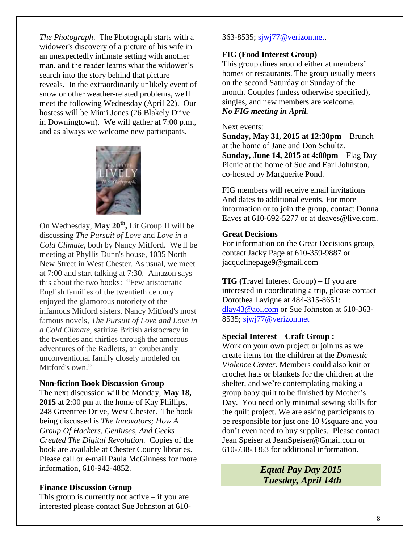*The Photograph*. The Photograph starts with a widower's discovery of a picture of his wife in an unexpectedly intimate setting with another man, and the reader learns what the widower's search into the story behind that picture reveals. In the extraordinarily unlikely event of snow or other weather-related problems, we'll meet the following Wednesday (April 22). Our hostess will be Mimi Jones (26 Blakely Drive in Downingtown). We will gather at 7:00 p.m., and as always we welcome new participants.



On Wednesday, **May 20th ,** Lit Group II will be discussing *The Pursuit of Love* and *Love in a Cold Climate,* both by Nancy Mitford. We'll be meeting at Phyllis Dunn's house, 1035 North New Street in West Chester. As usual, we meet at 7:00 and start talking at 7:30. Amazon says this about the two books: "Few aristocratic English families of the twentieth century enjoyed the glamorous notoriety of the infamous Mitford sisters. Nancy Mitford's most famous novels, *The Pursuit of Love and Love in a Cold Climate*, satirize British aristocracy in the twenties and thirties through the amorous adventures of the Radletts, an exuberantly unconventional family closely modeled on Mitford's own."

#### **Non-fiction Book Discussion Group**

The next discussion will be Monday, **May 18, 2015** at 2:00 pm at the home of Kay Phillips, 248 Greentree Drive, West Chester. The book being discussed is *The Innovators; How A Group Of Hackers, Geniuses, And Geeks Created The Digital Revolution.* Copies of the book are available at Chester County libraries. Please call or e-mail Paula McGinness for more information, 610-942-4852.

#### **Finance Discussion Group**

This group is currently not active  $-$  if you are interested please contact Sue Johnston at 610-

#### 363-8535; [sjwj77@verizon.net.](mailto:sjwj77@verizon.net)

#### **FIG (Food Interest Group)**

This group dines around either at members' homes or restaurants. The group usually meets on the second Saturday or Sunday of the month. Couples (unless otherwise specified), singles, and new members are welcome. *No FIG meeting in April.* 

#### Next events:

**Sunday, May 31, 2015 at 12:30pm** – Brunch at the home of Jane and Don Schultz. **Sunday, June 14, 2015 at 4:00pm** – Flag Day Picnic at the home of Sue and Earl Johnston, co-hosted by Marguerite Pond.

FIG members will receive email invitations And dates to additional events. For more information or to join the group, contact Donna Eaves at 610-692-5277 or at [deaves@live.com.](mailto:deaves@live.com)

#### **Great Decisions**

For information on the Great Decisions group, contact Jacky Page at 610-359-9887 or [jacquelinepage9@gmail.com](mailto:jacquelinepage9@gmail.com)

**TIG (**Travel Interest Group**) –** If you are interested in coordinating a trip, please contact Dorothea Lavigne at 484-315-8651: [dlav43@aol.com](mailto:dlav43@aol.com) or Sue Johnston at 610-363- 8535; [sjwj77@verizon.net](mailto:sjwj77@verizon.net)

#### **Special Interest – Craft Group :**

Work on your own project or join us as we create items for the children at the *Domestic Violence Center.* Members could also knit or crochet hats or blankets for the children at the shelter, and we're contemplating making a group baby quilt to be finished by Mother's Day. You need only minimal sewing skills for the quilt project. We are asking participants to be responsible for just one 10 ½square and you don't even need to buy supplies. Please contact Jean Speiser at [JeanSpeiser@Gmail.com](mailto:JeanSpeiser@Gmail.com) or 610-738-3363 for additional information.

> *Equal Pay Day 2015 Tuesday, April 14th*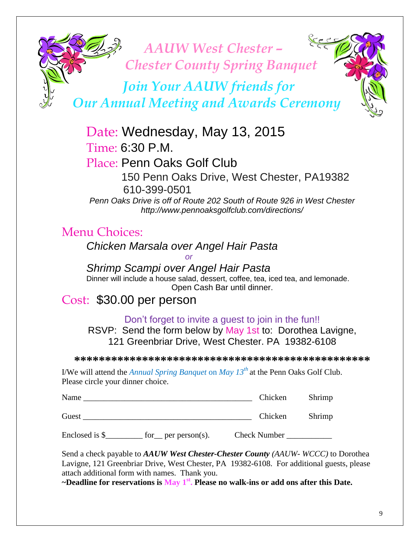

Date: Wednesday, May 13, 2015  $Time: 6:30 P. M.$ 

Place: Penn Oaks Golf Club 150 Penn Oaks Drive, West Chester, PA19382 610-399-0501 *Penn Oaks Drive is off of Route 202 South of Route 926 in West Chester* 

*http://www.pennoaksgolfclub.com/directions/*

# Menu Choices:

*Chicken Marsala over Angel Hair Pasta* 

*or*

*Shrimp Scampi over Angel Hair Pasta* Dinner will include a house salad, dessert, coffee, tea, iced tea, and lemonade. Open Cash Bar until dinner.

# Cost: \$30.00 per person

Don't forget to invite a guest to join in the fun!!

RSVP: Send the form below by May 1st to: Dorothea Lavigne, 121 Greenbriar Drive, West Chester. PA 19382-6108

**\*\*\*\*\*\*\*\*\*\*\*\*\*\*\*\*\*\*\*\*\*\*\*\*\*\*\*\*\*\*\*\*\*\*\*\*\*\*\*\*\*\*\*\*\*\*\*\***

I/We will attend the *Annual Spring Banquet* on *May 13th* at the Penn Oaks Golf Club. Please circle your dinner choice.

| Name  | Chicken | Shrimp |
|-------|---------|--------|
| Guest | Chicken | Shrimp |

Enclosed is \$\_\_\_\_\_\_\_\_\_ for \_\_ per person(s). Check Number \_\_\_\_\_\_\_\_\_\_\_\_\_\_\_\_\_\_\_\_\_\_

Send a check payable to *AAUW West Chester-Chester County (AAUW- WCCC)* to Dorothea Lavigne, 121 Greenbriar Drive, West Chester, PA 19382-6108. For additional guests, please attach additional form with names. Thank you.

**~Deadline for reservations is May 1st . Please no walk-ins or add ons after this Date.**